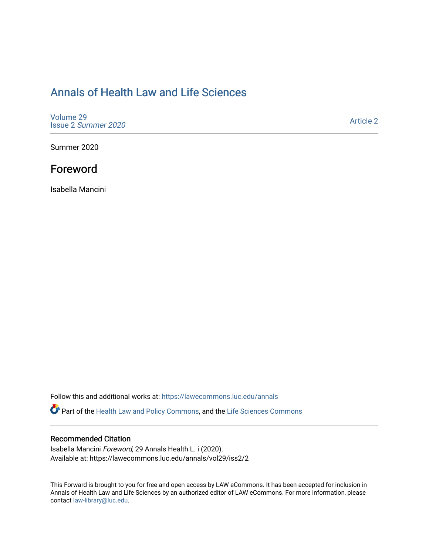## [Annals of Health Law and Life Sciences](https://lawecommons.luc.edu/annals)

[Volume 29](https://lawecommons.luc.edu/annals/vol29) Issue 2 [Summer 2020](https://lawecommons.luc.edu/annals/vol29/iss2) 

[Article 2](https://lawecommons.luc.edu/annals/vol29/iss2/2) 

Summer 2020

## Foreword

Isabella Mancini

Follow this and additional works at: [https://lawecommons.luc.edu/annals](https://lawecommons.luc.edu/annals?utm_source=lawecommons.luc.edu%2Fannals%2Fvol29%2Fiss2%2F2&utm_medium=PDF&utm_campaign=PDFCoverPages)

Part of the [Health Law and Policy Commons](http://network.bepress.com/hgg/discipline/901?utm_source=lawecommons.luc.edu%2Fannals%2Fvol29%2Fiss2%2F2&utm_medium=PDF&utm_campaign=PDFCoverPages), and the Life Sciences Commons

## Recommended Citation

Isabella Mancini Foreword, 29 Annals Health L. i (2020). Available at: https://lawecommons.luc.edu/annals/vol29/iss2/2

This Forward is brought to you for free and open access by LAW eCommons. It has been accepted for inclusion in Annals of Health Law and Life Sciences by an authorized editor of LAW eCommons. For more information, please contact [law-library@luc.edu.](mailto:law-library@luc.edu)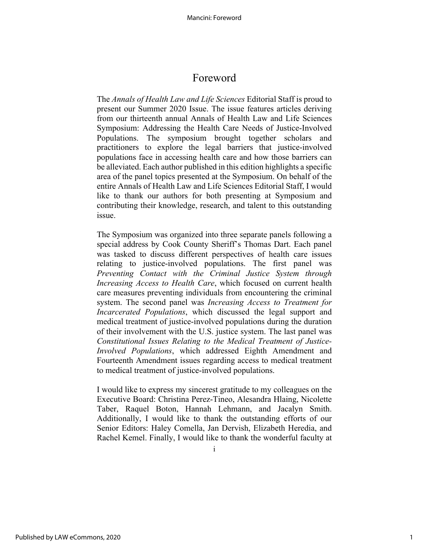## Foreword

The *Annals of Health Law and Life Sciences* Editorial Staff is proud to present our Summer 2020 Issue. The issue features articles deriving from our thirteenth annual Annals of Health Law and Life Sciences Symposium: Addressing the Health Care Needs of Justice-Involved Populations. The symposium brought together scholars and practitioners to explore the legal barriers that justice-involved populations face in accessing health care and how those barriers can be alleviated. Each author published in this edition highlights a specific area of the panel topics presented at the Symposium. On behalf of the entire Annals of Health Law and Life Sciences Editorial Staff, I would like to thank our authors for both presenting at Symposium and contributing their knowledge, research, and talent to this outstanding issue.

The Symposium was organized into three separate panels following a special address by Cook County Sheriff's Thomas Dart. Each panel was tasked to discuss different perspectives of health care issues relating to justice-involved populations. The first panel was *Preventing Contact with the Criminal Justice System through Increasing Access to Health Care*, which focused on current health care measures preventing individuals from encountering the criminal system. The second panel was *Increasing Access to Treatment for Incarcerated Populations*, which discussed the legal support and medical treatment of justice-involved populations during the duration of their involvement with the U.S. justice system. The last panel was *Constitutional Issues Relating to the Medical Treatment of Justice-Involved Populations*, which addressed Eighth Amendment and Fourteenth Amendment issues regarding access to medical treatment to medical treatment of justice-involved populations.

I would like to express my sincerest gratitude to my colleagues on the Executive Board: Christina Perez-Tineo, Alesandra Hlaing, Nicolette Taber, Raquel Boton, Hannah Lehmann, and Jacalyn Smith. Additionally, I would like to thank the outstanding efforts of our Senior Editors: Haley Comella, Jan Dervish, Elizabeth Heredia, and Rachel Kemel. Finally, I would like to thank the wonderful faculty at